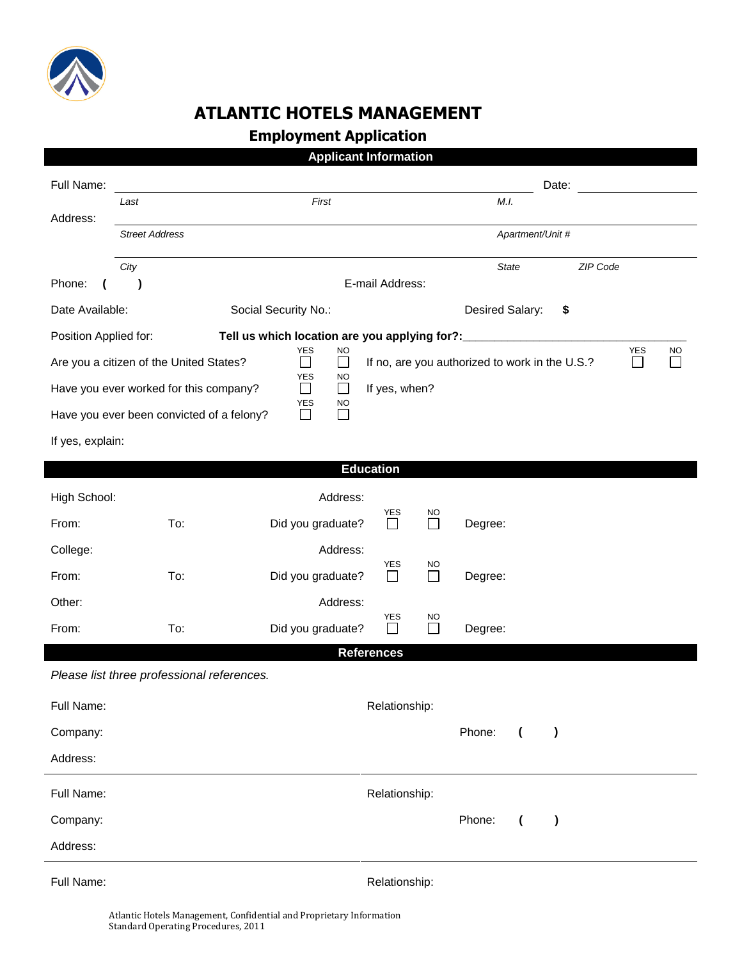

## **ATLANTIC HOTELS MANAGEMENT**

## **Employment Application**

|                                                                                                                                                                                            |                       |                                            |                                             | <b>Applicant Information</b> |                     |                  |                |           |  |  |  |  |
|--------------------------------------------------------------------------------------------------------------------------------------------------------------------------------------------|-----------------------|--------------------------------------------|---------------------------------------------|------------------------------|---------------------|------------------|----------------|-----------|--|--|--|--|
| Full Name:                                                                                                                                                                                 |                       |                                            |                                             |                              |                     |                  | Date:          |           |  |  |  |  |
| Address:                                                                                                                                                                                   | First<br>Last         |                                            |                                             |                              |                     | M.I.             |                |           |  |  |  |  |
|                                                                                                                                                                                            | <b>Street Address</b> |                                            |                                             |                              |                     | Apartment/Unit # |                |           |  |  |  |  |
|                                                                                                                                                                                            | City                  |                                            |                                             |                              |                     |                  | <b>State</b>   | ZIP Code  |  |  |  |  |
| Phone:                                                                                                                                                                                     | $\lambda$             | E-mail Address:                            |                                             |                              |                     |                  |                |           |  |  |  |  |
| Date Available:<br>Social Security No.:                                                                                                                                                    |                       |                                            |                                             |                              |                     | Desired Salary:  |                | \$        |  |  |  |  |
| Position Applied for:<br>Tell us which location are you applying for?: __________________                                                                                                  |                       |                                            |                                             |                              |                     |                  |                |           |  |  |  |  |
| YES<br>YES<br><b>NO</b><br><b>NO</b><br>Are you a citizen of the United States?<br>If no, are you authorized to work in the U.S.?<br>$\mathcal{L}_{\mathcal{A}}$<br>$\Box$<br>$\mathbf{I}$ |                       |                                            |                                             |                              |                     |                  |                |           |  |  |  |  |
|                                                                                                                                                                                            |                       | Have you ever worked for this company?     | YES<br>NO<br>$\Box$<br>$\Box$               | If yes, when?                |                     |                  |                |           |  |  |  |  |
|                                                                                                                                                                                            |                       | Have you ever been convicted of a felony?  | <b>YES</b><br><b>NO</b><br>$\Box$<br>$\Box$ |                              |                     |                  |                |           |  |  |  |  |
| If yes, explain:                                                                                                                                                                           |                       |                                            |                                             |                              |                     |                  |                |           |  |  |  |  |
| <b>Education</b>                                                                                                                                                                           |                       |                                            |                                             |                              |                     |                  |                |           |  |  |  |  |
| High School:                                                                                                                                                                               |                       |                                            | Address:                                    |                              |                     |                  |                |           |  |  |  |  |
| From:                                                                                                                                                                                      |                       | To:                                        | Did you graduate?                           | <b>YES</b><br>$\perp$        | NO<br>I.            | Degree:          |                |           |  |  |  |  |
| College:                                                                                                                                                                                   |                       |                                            | Address:                                    |                              |                     |                  |                |           |  |  |  |  |
| From:                                                                                                                                                                                      |                       | To:                                        | Did you graduate?                           | <b>YES</b><br>$\Box$         | <b>NO</b><br>$\Box$ | Degree:          |                |           |  |  |  |  |
| Other:                                                                                                                                                                                     |                       |                                            | Address:                                    |                              |                     |                  |                |           |  |  |  |  |
| From:                                                                                                                                                                                      |                       | To:                                        | Did you graduate?                           | YES                          | NO                  | Degree:          |                |           |  |  |  |  |
|                                                                                                                                                                                            |                       |                                            |                                             | <b>References</b>            |                     |                  |                |           |  |  |  |  |
|                                                                                                                                                                                            |                       | Please list three professional references. |                                             |                              |                     |                  |                |           |  |  |  |  |
| Full Name:<br>Relationship:                                                                                                                                                                |                       |                                            |                                             |                              |                     |                  |                |           |  |  |  |  |
| Company:                                                                                                                                                                                   |                       |                                            |                                             |                              |                     | Phone:           | $\overline{ }$ | $\lambda$ |  |  |  |  |
| Address:                                                                                                                                                                                   |                       |                                            |                                             |                              |                     |                  |                |           |  |  |  |  |
| Full Name:                                                                                                                                                                                 | Relationship:         |                                            |                                             |                              |                     |                  |                |           |  |  |  |  |
| Company:                                                                                                                                                                                   |                       |                                            |                                             |                              |                     | Phone:           | $\overline{ }$ | $\lambda$ |  |  |  |  |
| Address:                                                                                                                                                                                   |                       |                                            |                                             |                              |                     |                  |                |           |  |  |  |  |
|                                                                                                                                                                                            |                       |                                            |                                             |                              |                     |                  |                |           |  |  |  |  |

Full Name: The Contract of the Contract of the Relationship: Relationship: